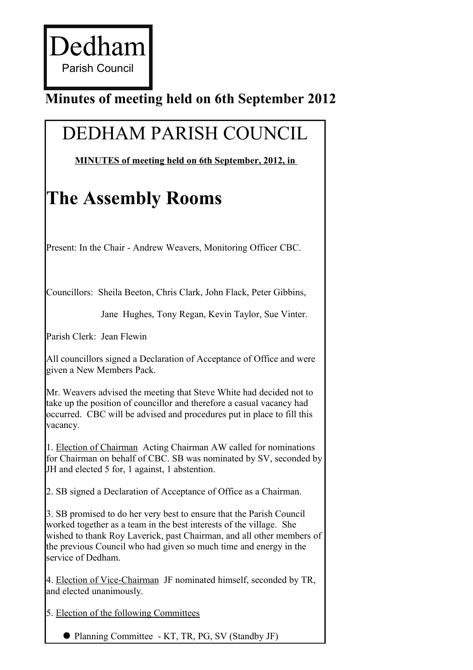## **Minutes of meeting held on 6th September 2012**

## DEDHAM PARISH COUNCIL

 **MINUTES of meeting held on 6th September, 2012, in** 

## **The Assembly Rooms**

Present: In the Chair - Andrew Weavers, Monitoring Officer CBC.

Councillors: Sheila Beeton, Chris Clark, John Flack, Peter Gibbins,

Jane Hughes, Tony Regan, Kevin Taylor, Sue Vinter.

Parish Clerk: Jean Flewin

All councillors signed a Declaration of Acceptance of Office and were given a New Members Pack.

Mr. Weavers advised the meeting that Steve White had decided not to take up the position of councillor and therefore a casual vacancy had occurred. CBC will be advised and procedures put in place to fill this vacancy.

1. Election of Chairman Acting Chairman AW called for nominations for Chairman on behalf of CBC. SB was nominated by SV, seconded by JH and elected 5 for, 1 against, 1 abstention.

2. SB signed a Declaration of Acceptance of Office as a Chairman.

3. SB promised to do her very best to ensure that the Parish Council worked together as a team in the best interests of the village. She wished to thank Roy Laverick, past Chairman, and all other members of the previous Council who had given so much time and energy in the service of Dedham.

4. Election of Vice-Chairman JF nominated himself, seconded by TR, and elected unanimously.

5. Election of the following Committees

• Planning Committee - KT, TR, PG, SV (Standby JF)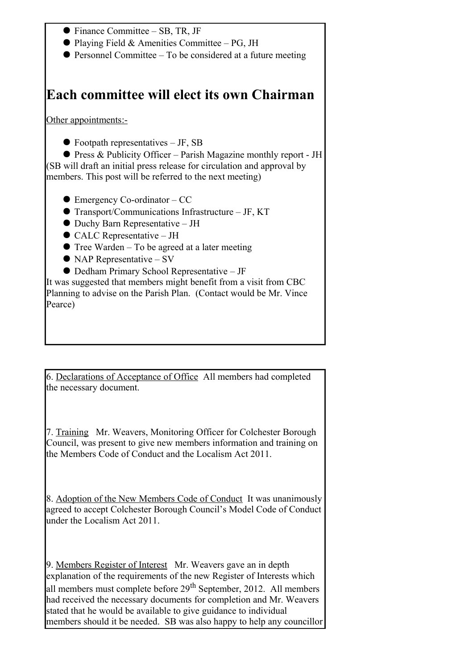Finance Committee – SB, TR, JF  $\bullet$  Playing Field & Amenities Committee – PG, JH  $\bullet$  Personnel Committee – To be considered at a future meeting **Each committee will elect its own Chairman** Other appointments:-  $\bullet$  Footpath representatives – JF, SB Press & Publicity Officer – Parish Magazine monthly report - JH (SB will draft an initial press release for circulation and approval by members. This post will be referred to the next meeting) ● Emergency Co-ordinator – CC ● Transport/Communications Infrastructure – JF, KT Duchy Barn Representative – JH ● CALC Representative – JH  $\bullet$  Tree Warden – To be agreed at a later meeting  $\bullet$  NAP Representative – SV Dedham Primary School Representative – JF It was suggested that members might benefit from a visit from CBC Planning to advise on the Parish Plan. (Contact would be Mr. Vince Pearce)

6. Declarations of Acceptance of Office All members had completed the necessary document.

7. Training Mr. Weavers, Monitoring Officer for Colchester Borough Council, was present to give new members information and training on the Members Code of Conduct and the Localism Act 2011.

8. Adoption of the New Members Code of Conduct It was unanimously agreed to accept Colchester Borough Council's Model Code of Conduct under the Localism Act 2011.

9. Members Register of Interest Mr. Weavers gave an in depth explanation of the requirements of the new Register of Interests which all members must complete before 29<sup>th</sup> September, 2012. All members had received the necessary documents for completion and Mr. Weavers stated that he would be available to give guidance to individual members should it be needed. SB was also happy to help any councillor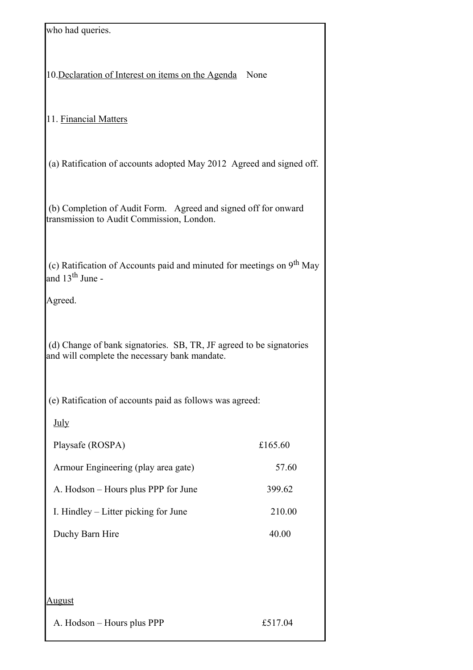| who had queries.                                                                                                     |         |
|----------------------------------------------------------------------------------------------------------------------|---------|
| 10. Declaration of Interest on items on the Agenda                                                                   | None    |
| 11. Financial Matters                                                                                                |         |
| (a) Ratification of accounts adopted May 2012 Agreed and signed off.                                                 |         |
| (b) Completion of Audit Form. Agreed and signed off for onward<br>transmission to Audit Commission, London.          |         |
| (c) Ratification of Accounts paid and minuted for meetings on 9 <sup>th</sup> May<br>and 13 <sup>th</sup> June -     |         |
| Agreed.                                                                                                              |         |
| (d) Change of bank signatories. SB, TR, JF agreed to be signatories<br>and will complete the necessary bank mandate. |         |
| (e) Ratification of accounts paid as follows was agreed:                                                             |         |
| July                                                                                                                 |         |
| Playsafe (ROSPA)                                                                                                     | £165.60 |
| Armour Engineering (play area gate)                                                                                  | 57.60   |
| A. Hodson – Hours plus PPP for June                                                                                  | 399.62  |
| I. Hindley – Litter picking for June                                                                                 | 210.00  |
| Duchy Barn Hire                                                                                                      | 40.00   |
|                                                                                                                      |         |
| <u>August</u>                                                                                                        |         |
| A. Hodson - Hours plus PPP                                                                                           | £517.04 |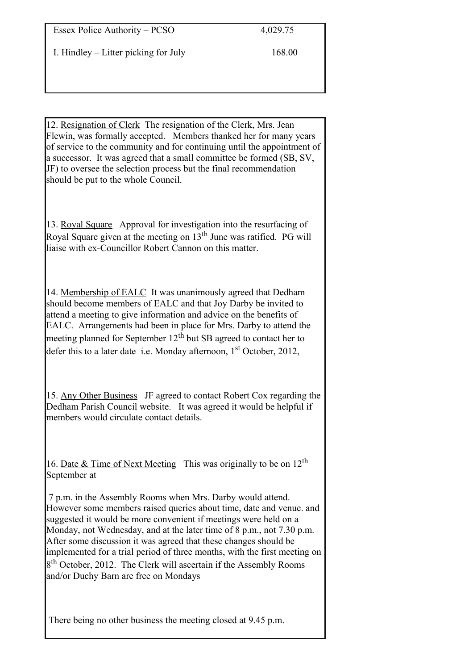I. Hindley – Litter picking for July 168.00

12. Resignation of Clerk The resignation of the Clerk, Mrs. Jean Flewin, was formally accepted. Members thanked her for many years of service to the community and for continuing until the appointment of a successor. It was agreed that a small committee be formed (SB, SV, JF) to oversee the selection process but the final recommendation should be put to the whole Council.

13. Royal Square Approval for investigation into the resurfacing of Royal Square given at the meeting on 13<sup>th</sup> June was ratified. PG will liaise with ex-Councillor Robert Cannon on this matter.

14. Membership of EALC It was unanimously agreed that Dedham should become members of EALC and that Joy Darby be invited to attend a meeting to give information and advice on the benefits of EALC. Arrangements had been in place for Mrs. Darby to attend the meeting planned for September  $12<sup>th</sup>$  but SB agreed to contact her to defer this to a later date i.e. Monday afternoon,  $1<sup>st</sup>$  October, 2012,

15. Any Other Business JF agreed to contact Robert Cox regarding the Dedham Parish Council website. It was agreed it would be helpful if members would circulate contact details.

16. Date & Time of Next Meeting This was originally to be on  $12<sup>th</sup>$ September at

7 p.m. in the Assembly Rooms when Mrs. Darby would attend. However some members raised queries about time, date and venue. and suggested it would be more convenient if meetings were held on a Monday, not Wednesday, and at the later time of 8 p.m., not 7.30 p.m. After some discussion it was agreed that these changes should be implemented for a trial period of three months, with the first meeting on 8<sup>th</sup> October, 2012. The Clerk will ascertain if the Assembly Rooms and/or Duchy Barn are free on Mondays

There being no other business the meeting closed at 9.45 p.m.